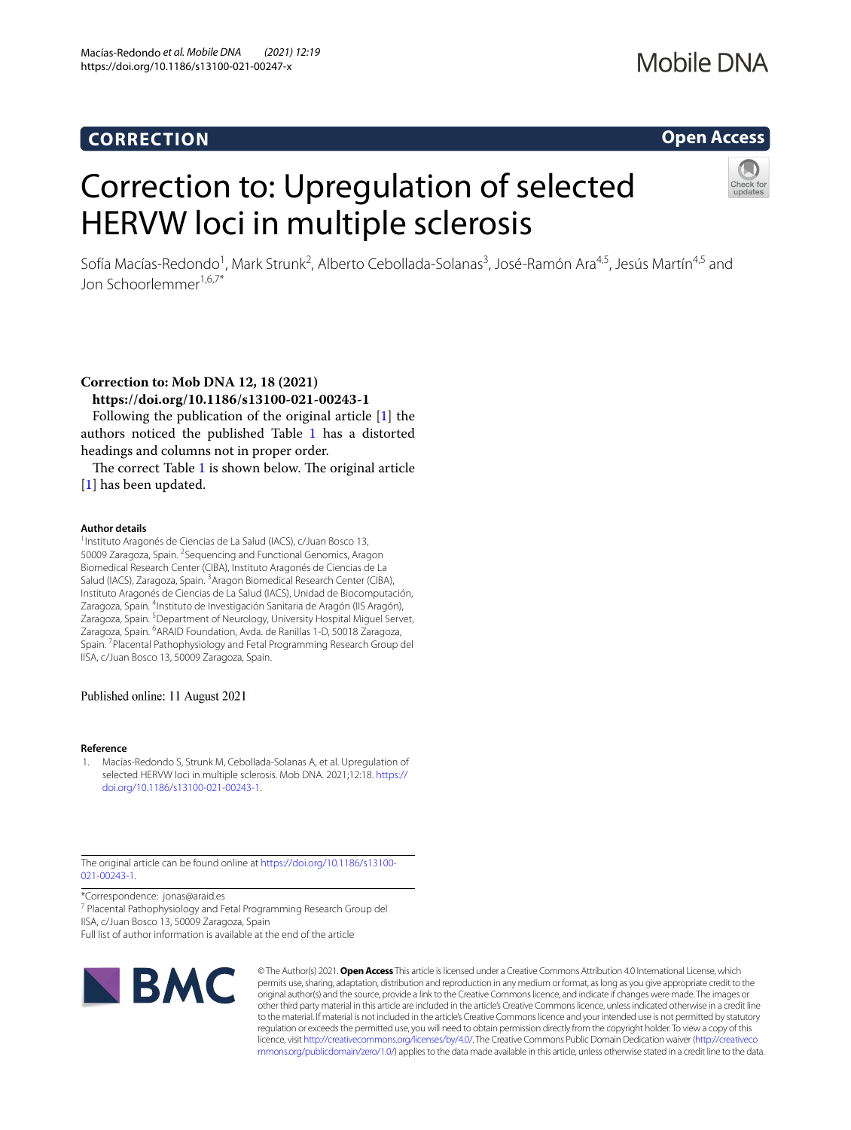## **CORRECTION**

## Mobile DNA

## **Open Access**

# Correction to: Upregulation of selected HERVW loci in multiple sclerosis



Sofía Macías-Redondo<sup>1</sup>, Mark Strunk<sup>2</sup>, Alberto Cebollada-Solanas<sup>3</sup>, José-Ramón Ara<sup>4,5</sup>, Jesús Martín<sup>4,5</sup> and Jon Schoorlemmer1,6,7\*

**Correction to: Mob DNA 12, 18 (2021)**

**https://doi.org/10.1186/s13100-021-00243-1**

Following the publication of the original article [\[1](#page-0-0)] the authors noticed the published Table [1](#page-1-0) has a distorted headings and columns not in proper order.

The correct Table  $1$  is shown below. The original article [[1\]](#page-0-0) has been updated.

#### **Author details**

1Instituto Aragonés de Ciencias de La Salud (IACS), c/Juan Bosco 13, 50009 Zaragoza, Spain. <sup>2</sup> Sequencing and Functional Genomics, Aragon Biomedical Research Center (CIBA), Instituto Aragonés de Ciencias de La Salud (IACS), Zaragoza, Spain. <sup>3</sup> Aragon Biomedical Research Center (CIBA), Instituto Aragonés de Ciencias de La Salud (IACS), Unidad de Biocomputación, Zaragoza, Spain. <sup>4</sup>Instituto de Investigación Sanitaria de Aragón (IIS Aragón), Zaragoza, Spain.<sup>5</sup> Department of Neurology, University Hospital Miguel Servet, Zaragoza, Spain. <sup>6</sup> ARAID Foundation, Avda. de Ranillas 1-D, 50018 Zaragoza, Spain. <sup>7</sup> Placental Pathophysiology and Fetal Programming Research Group del IISA, c/Juan Bosco 13, 50009 Zaragoza, Spain.

#### Published online: 11 August 2021

#### **Reference**

<span id="page-0-0"></span>1. Macías-Redondo S, Strunk M, Cebollada-Solanas A, et al. Upregulation of selected HERVW loci in multiple sclerosis. Mob DNA. 2021;12:18. [https://](https://doi.org/10.1186/s13100-021-00243-1) [doi.org/10.1186/s13100-021-00243-1](https://doi.org/10.1186/s13100-021-00243-1).

The original article can be found online at [https://doi.org/10.1186/s13100-](https://doi.org/10.1186/s13100-021-00243-1) [021-00243-1](https://doi.org/10.1186/s13100-021-00243-1).

\*Correspondence: jonas@araid.es

<sup>7</sup> Placental Pathophysiology and Fetal Programming Research Group del IISA, c/Juan Bosco 13, 50009 Zaragoza, Spain

Full list of author information is available at the end of the article



© The Author(s) 2021. **Open Access** This article is licensed under a Creative Commons Attribution 4.0 International License, which permits use, sharing, adaptation, distribution and reproduction in any medium or format, as long as you give appropriate credit to the original author(s) and the source, provide a link to the Creative Commons licence, and indicate if changes were made. The images or other third party material in this article are included in the article's Creative Commons licence, unless indicated otherwise in a credit line to the material. If material is not included in the article's Creative Commons licence and your intended use is not permitted by statutory regulation or exceeds the permitted use, you will need to obtain permission directly from the copyright holder. To view a copy of this licence, visit [http://creativecommons.org/licenses/by/4.0/.](http://creativecommons.org/licenses/by/4.0/) The Creative Commons Public Domain Dedication waiver ([http://creativeco](http://creativecommons.org/publicdomain/zero/1.0/) [mmons.org/publicdomain/zero/1.0/](http://creativecommons.org/publicdomain/zero/1.0/)) applies to the data made available in this article, unless otherwise stated in a credit line to the data.